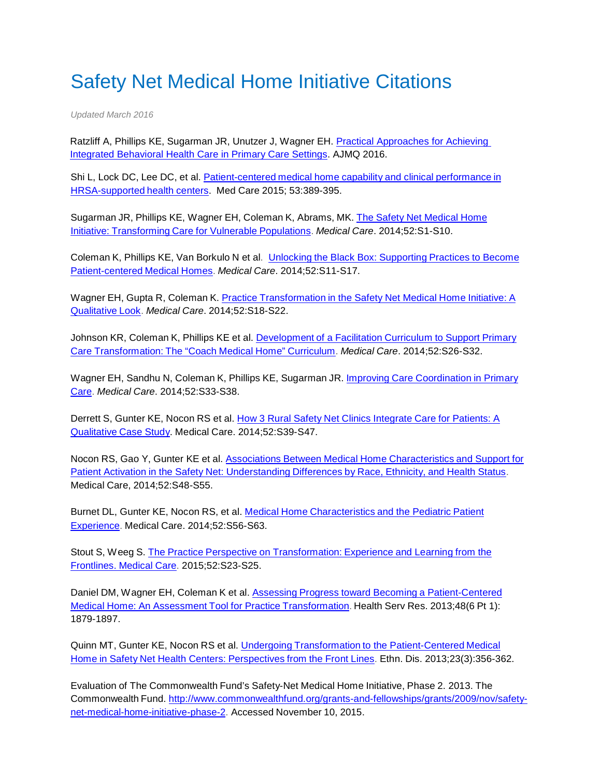## Safety Net Medical Home Initiative Citations

*Updated March 2016*

Ratzliff A, Phillips KE, Sugarman JR, Unutzer J, Wagner EH. [Practical Approaches for Achieving](http://ajm.sagepub.com/content/early/2015/12/23/1062860615618783.full.pdf+html)  [Integrated Behavioral Health Care in Primary Care Settings.](http://ajm.sagepub.com/content/early/2015/12/23/1062860615618783.full.pdf+html) AJMQ 2016.

Shi L, Lock DC, Lee DC, et al. [Patient-centered](http://journals.lww.com/lww-medicalcare/Abstract/2015/05000/Patient_centered_Medical_Home_Capability_and.2.aspx) medical home capability and clinical performance in [HRSA-supported](http://journals.lww.com/lww-medicalcare/Abstract/2015/05000/Patient_centered_Medical_Home_Capability_and.2.aspx) health centers. Med Care 2015; 53:389-395.

Sugarman JR, Phillips KE, Wagner EH, Coleman K, Abrams, MK. The Safety Net [Medical](http://journals.lww.com/lww-medicalcare/Fulltext/2014/11001/The_Safety_Net_Medical_Home_Initiative_.3.aspx) Home Initiative: [Transforming](http://journals.lww.com/lww-medicalcare/Fulltext/2014/11001/The_Safety_Net_Medical_Home_Initiative_.3.aspx) Care for Vulnerable Populations. *Medical Care*. 2014;52:S1-S10.

Coleman K, Phillips KE, Van Borkulo N et al. *Unlocking the Black Box: [Supporting](http://journals.lww.com/lww-medicalcare/Fulltext/2014/11001/Unlocking_the_Black_Box__Supporting_Practices_to.4.aspx) Practices to Become* [Patient-centered](http://journals.lww.com/lww-medicalcare/Fulltext/2014/11001/Unlocking_the_Black_Box__Supporting_Practices_to.4.aspx) Medical Homes. *Medical Care*. 2014;52:S11-S17.

Wagner EH, Gupta R, Coleman K. Practice [Transformation](http://journals.lww.com/lww-medicalcare/Fulltext/2014/11001/Practice_Transformation_in_the_Safety_Net_Medical.5.aspx) in the Safety Net Medical Home Initiative: A [Qualitative](http://journals.lww.com/lww-medicalcare/Fulltext/2014/11001/Practice_Transformation_in_the_Safety_Net_Medical.5.aspx) Look. *Medical Care*. 2014;52:S18-S22.

Johnson KR, Coleman K, Phillips KE et al. [Development](http://journals.lww.com/lww-medicalcare/Fulltext/2014/11001/Development_of_a_Facilitation_Curriculum_to.7.aspx) of a Facilitation Curriculum to Support Primary Care [Transformation:](http://journals.lww.com/lww-medicalcare/Fulltext/2014/11001/Development_of_a_Facilitation_Curriculum_to.7.aspx) The "Coach Medical Home" Curriculum. *Medical Care*. 2014;52:S26-S32.

Wagner EH, Sandhu N, Coleman K, Phillips KE, Sugarman JR. Improving Care [Coordination](http://journals.lww.com/lww-medicalcare/Fulltext/2014/11001/Improving_Care_Coordination_in_Primary_Care.8.aspx) in Primary [Care.](http://journals.lww.com/lww-medicalcare/Fulltext/2014/11001/Improving_Care_Coordination_in_Primary_Care.8.aspx) *Medical Care*. 2014;52:S33-S38.

Derrett S, Gunter KE, Nocon RS et al. How 3 Rural Safety Net Clinics [Integrate](http://journals.lww.com/lww-medicalcare/Fulltext/2014/11001/How_3_Rural_Safety_Net_Clinics_Integrate_Care_for.9.aspx) Care for Patients: A [Qualitative](http://journals.lww.com/lww-medicalcare/Fulltext/2014/11001/How_3_Rural_Safety_Net_Clinics_Integrate_Care_for.9.aspx) Case Study. Medical Care. 2014;52:S39-S47.

Nocon RS, Gao Y, Gunter KE et al. Associations Between Medical Home [Characteristics](http://journals.lww.com/lww-medicalcare/Fulltext/2014/11001/Associations_Between_Medical_Home_Characteristics.10.aspx) and Support for Patient Activation in the Safety Net: [Understanding](http://journals.lww.com/lww-medicalcare/Fulltext/2014/11001/Associations_Between_Medical_Home_Characteristics.10.aspx) Differences by Race, Ethnicity, and Health Status. Medical Care, 2014;52:S48-S55.

Burnet DL, Gunter KE, Nocon RS, et al. Medical Home [Characteristics](http://journals.lww.com/lww-medicalcare/Fulltext/2014/11001/Medical_Home_Characteristics_and_the_Pediatric.11.aspx) and the Pediatric Patient [Experience.](http://journals.lww.com/lww-medicalcare/Fulltext/2014/11001/Medical_Home_Characteristics_and_the_Pediatric.11.aspx) Medical Care. 2014;52:S56-S63.

Stout S, Weeg S. The Practice Perspective on [Transformation:](http://journals.lww.com/lww-medicalcare/Fulltext/2014/11001/The_Practice_Perspective_on_Transformation_.6.aspx) Experience and Learning from the [Frontlines.](http://journals.lww.com/lww-medicalcare/Fulltext/2014/11001/The_Practice_Perspective_on_Transformation_.6.aspx) Medical Care. 2015;52:S23-S25.

Daniel DM, Wagner EH, Coleman K et al. Assessing Progress toward Becoming [a Patient-Centered](http://www.ncbi.nlm.nih.gov/pmc/articles/PMC3876398/) Medical Home: An Assessment Tool for Practice [Transformation.](http://www.ncbi.nlm.nih.gov/pmc/articles/PMC3876398/) Health Serv Res. 2013;48(6 Pt 1): 1879-1897.

Quinn MT, Gunter KE, Nocon RS et al. Undergoing Transformation to the [Patient-Centered](http://www.ncbi.nlm.nih.gov/pmc/articles/PMC3740439/) Medical Home in Safety Net Health Centers: [Perspectives](http://www.ncbi.nlm.nih.gov/pmc/articles/PMC3740439/) from the Front Lines. Ethn. Dis. 2013;23(3):356-362.

Evaluation of The Commonwealth Fund's Safety-Net Medical Home Initiative, Phase 2. 2013. The Commonwealth Fund. [http://www.commonwealthfund.org/grants-and-fellowships/grants/2009/nov/safety](http://www.commonwealthfund.org/grants-and-fellowships/grants/2009/nov/safety-net-medical-home-initiative-phase-2)[net-medical-home-initiative-phase-2.](http://www.commonwealthfund.org/grants-and-fellowships/grants/2009/nov/safety-net-medical-home-initiative-phase-2) Accessed November 10, 2015.